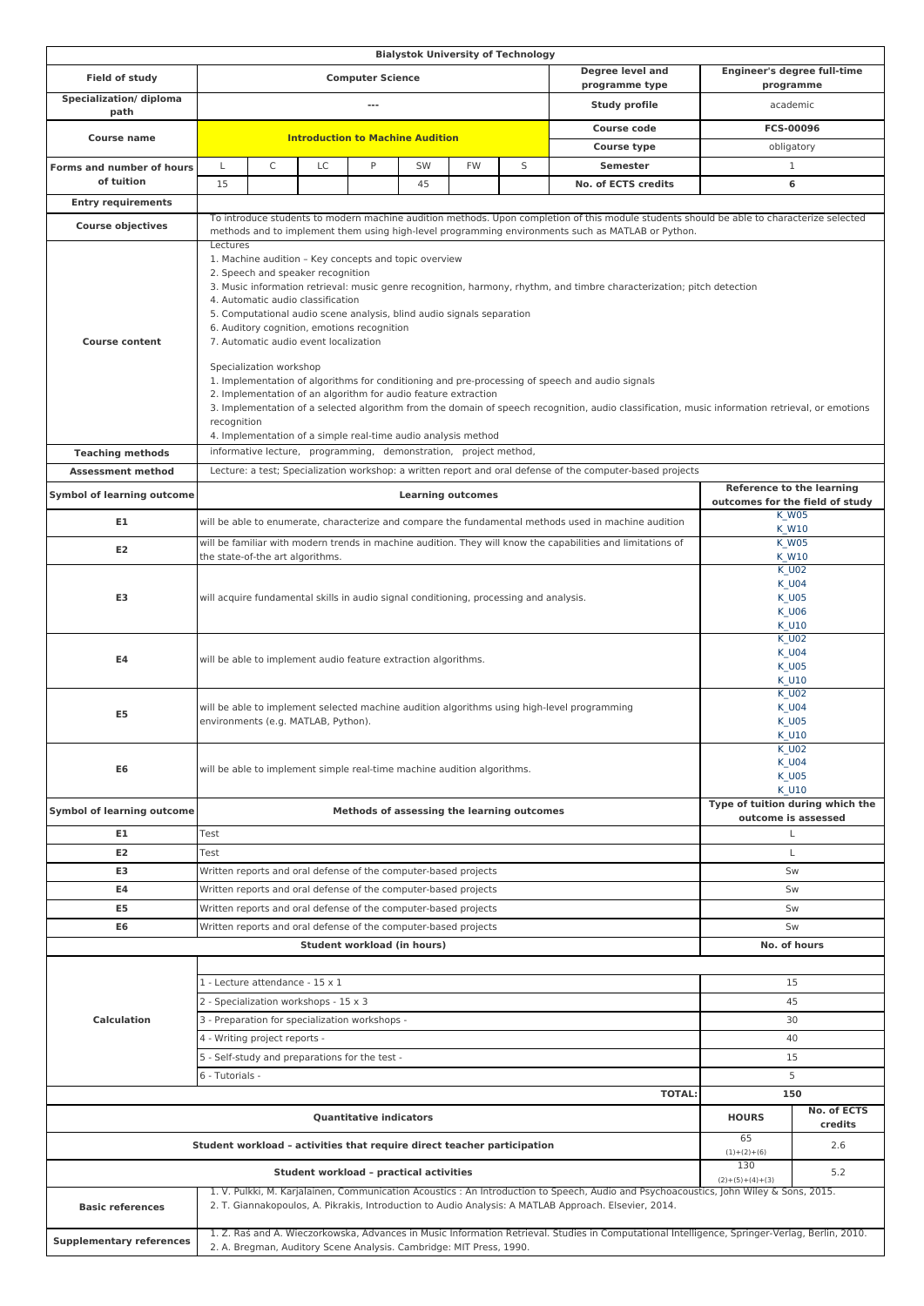|                                                                         |                                                                                                                                                                                                                                                                                                                                                                                                                                                                                                                                                                                                                                                                                                                                                                                                                                                                           |                                                                       |    |   |    |              | <b>Bialystok University of Technology</b>                             |                                                                                                            |                                                                                     |              |  |
|-------------------------------------------------------------------------|---------------------------------------------------------------------------------------------------------------------------------------------------------------------------------------------------------------------------------------------------------------------------------------------------------------------------------------------------------------------------------------------------------------------------------------------------------------------------------------------------------------------------------------------------------------------------------------------------------------------------------------------------------------------------------------------------------------------------------------------------------------------------------------------------------------------------------------------------------------------------|-----------------------------------------------------------------------|----|---|----|--------------|-----------------------------------------------------------------------|------------------------------------------------------------------------------------------------------------|-------------------------------------------------------------------------------------|--------------|--|
| Field of study                                                          | <b>Computer Science</b>                                                                                                                                                                                                                                                                                                                                                                                                                                                                                                                                                                                                                                                                                                                                                                                                                                                   |                                                                       |    |   |    |              | Degree level and                                                      | <b>Engineer's degree full-time</b>                                                                         |                                                                                     |              |  |
| Specialization/ diploma                                                 |                                                                                                                                                                                                                                                                                                                                                                                                                                                                                                                                                                                                                                                                                                                                                                                                                                                                           | programme type                                                        |    |   |    |              |                                                                       |                                                                                                            | programme                                                                           |              |  |
| path                                                                    |                                                                                                                                                                                                                                                                                                                                                                                                                                                                                                                                                                                                                                                                                                                                                                                                                                                                           | Study profile<br>---                                                  |    |   |    |              |                                                                       | academic                                                                                                   |                                                                                     |              |  |
| <b>Course name</b>                                                      |                                                                                                                                                                                                                                                                                                                                                                                                                                                                                                                                                                                                                                                                                                                                                                                                                                                                           | <b>Course code</b><br><b>Introduction to Machine Audition</b>         |    |   |    |              |                                                                       | FCS-00096                                                                                                  |                                                                                     |              |  |
|                                                                         | <b>Course type</b>                                                                                                                                                                                                                                                                                                                                                                                                                                                                                                                                                                                                                                                                                                                                                                                                                                                        |                                                                       |    |   |    |              | obligatory                                                            |                                                                                                            |                                                                                     |              |  |
| Forms and number of hours                                               | L                                                                                                                                                                                                                                                                                                                                                                                                                                                                                                                                                                                                                                                                                                                                                                                                                                                                         | C                                                                     | LC | P | SW | <b>FW</b>    | S                                                                     | <b>Semester</b>                                                                                            |                                                                                     | $\mathbf{1}$ |  |
| of tuition                                                              | 15                                                                                                                                                                                                                                                                                                                                                                                                                                                                                                                                                                                                                                                                                                                                                                                                                                                                        |                                                                       |    |   | 45 |              |                                                                       | No. of ECTS credits                                                                                        |                                                                                     | 6            |  |
| <b>Entry requirements</b>                                               |                                                                                                                                                                                                                                                                                                                                                                                                                                                                                                                                                                                                                                                                                                                                                                                                                                                                           |                                                                       |    |   |    |              |                                                                       |                                                                                                            |                                                                                     |              |  |
| <b>Course objectives</b>                                                | To introduce students to modern machine audition methods. Upon completion of this module students should be able to characterize selected<br>methods and to implement them using high-level programming environments such as MATLAB or Python.                                                                                                                                                                                                                                                                                                                                                                                                                                                                                                                                                                                                                            |                                                                       |    |   |    |              |                                                                       |                                                                                                            |                                                                                     |              |  |
| <b>Course content</b>                                                   | Lectures<br>1. Machine audition - Key concepts and topic overview<br>2. Speech and speaker recognition<br>3. Music information retrieval: music genre recognition, harmony, rhythm, and timbre characterization; pitch detection<br>4. Automatic audio classification<br>5. Computational audio scene analysis, blind audio signals separation<br>6. Auditory cognition, emotions recognition<br>7. Automatic audio event localization<br>Specialization workshop<br>1. Implementation of algorithms for conditioning and pre-processing of speech and audio signals<br>2. Implementation of an algorithm for audio feature extraction<br>3. Implementation of a selected algorithm from the domain of speech recognition, audio classification, music information retrieval, or emotions<br>recognition<br>4. Implementation of a simple real-time audio analysis method |                                                                       |    |   |    |              |                                                                       |                                                                                                            |                                                                                     |              |  |
| <b>Teaching methods</b>                                                 |                                                                                                                                                                                                                                                                                                                                                                                                                                                                                                                                                                                                                                                                                                                                                                                                                                                                           | informative lecture, programming, demonstration, project method,      |    |   |    |              |                                                                       |                                                                                                            |                                                                                     |              |  |
| <b>Assessment method</b>                                                |                                                                                                                                                                                                                                                                                                                                                                                                                                                                                                                                                                                                                                                                                                                                                                                                                                                                           |                                                                       |    |   |    |              |                                                                       | Lecture: a test; Specialization workshop: a written report and oral defense of the computer-based projects |                                                                                     |              |  |
| <b>Symbol of learning outcome</b>                                       |                                                                                                                                                                                                                                                                                                                                                                                                                                                                                                                                                                                                                                                                                                                                                                                                                                                                           | <b>Learning outcomes</b>                                              |    |   |    |              |                                                                       |                                                                                                            | <b>Reference to the learning</b><br>outcomes for the field of study<br><b>K_W05</b> |              |  |
| E1                                                                      |                                                                                                                                                                                                                                                                                                                                                                                                                                                                                                                                                                                                                                                                                                                                                                                                                                                                           |                                                                       |    |   |    |              |                                                                       | will be able to enumerate, characterize and compare the fundamental methods used in machine audition       |                                                                                     | K W10        |  |
| E2                                                                      | will be familiar with modern trends in machine audition. They will know the capabilities and limitations of<br>the state-of-the art algorithms.                                                                                                                                                                                                                                                                                                                                                                                                                                                                                                                                                                                                                                                                                                                           |                                                                       |    |   |    |              |                                                                       | <b>K_W05</b><br>K W10                                                                                      |                                                                                     |              |  |
| E3                                                                      | will acquire fundamental skills in audio signal conditioning, processing and analysis.                                                                                                                                                                                                                                                                                                                                                                                                                                                                                                                                                                                                                                                                                                                                                                                    |                                                                       |    |   |    |              | <b>K U02</b><br><b>K_U04</b><br><b>K_U05</b><br><b>K_U06</b><br>K U10 |                                                                                                            |                                                                                     |              |  |
| E4                                                                      | will be able to implement audio feature extraction algorithms.                                                                                                                                                                                                                                                                                                                                                                                                                                                                                                                                                                                                                                                                                                                                                                                                            |                                                                       |    |   |    |              |                                                                       | <b>K_U02</b><br><b>K_U04</b><br>$K_U$ 005<br>K U10                                                         |                                                                                     |              |  |
| E5                                                                      | will be able to implement selected machine audition algorithms using high-level programming<br>environments (e.g. MATLAB, Python).                                                                                                                                                                                                                                                                                                                                                                                                                                                                                                                                                                                                                                                                                                                                        |                                                                       |    |   |    |              |                                                                       | <b>K_U02</b><br><b>K_U04</b><br><b>K_U05</b><br>K U10                                                      |                                                                                     |              |  |
| E6                                                                      | will be able to implement simple real-time machine audition algorithms.                                                                                                                                                                                                                                                                                                                                                                                                                                                                                                                                                                                                                                                                                                                                                                                                   |                                                                       |    |   |    |              | K_UUZ<br><b>K_U04</b><br><b>K_U05</b><br>K U10                        |                                                                                                            |                                                                                     |              |  |
| <b>Symbol of learning outcome</b>                                       |                                                                                                                                                                                                                                                                                                                                                                                                                                                                                                                                                                                                                                                                                                                                                                                                                                                                           | Methods of assessing the learning outcomes                            |    |   |    |              |                                                                       | Type of tuition during which the<br>outcome is assessed                                                    |                                                                                     |              |  |
| E1                                                                      | Test                                                                                                                                                                                                                                                                                                                                                                                                                                                                                                                                                                                                                                                                                                                                                                                                                                                                      |                                                                       |    |   |    |              | L                                                                     |                                                                                                            |                                                                                     |              |  |
| E <sub>2</sub>                                                          | Test                                                                                                                                                                                                                                                                                                                                                                                                                                                                                                                                                                                                                                                                                                                                                                                                                                                                      |                                                                       |    |   |    |              |                                                                       |                                                                                                            |                                                                                     | Г            |  |
| E3                                                                      | Written reports and oral defense of the computer-based projects                                                                                                                                                                                                                                                                                                                                                                                                                                                                                                                                                                                                                                                                                                                                                                                                           |                                                                       |    |   |    |              | Sw                                                                    |                                                                                                            |                                                                                     |              |  |
| E4                                                                      | Written reports and oral defense of the computer-based projects                                                                                                                                                                                                                                                                                                                                                                                                                                                                                                                                                                                                                                                                                                                                                                                                           |                                                                       |    |   |    |              | Sw                                                                    |                                                                                                            |                                                                                     |              |  |
| E5                                                                      |                                                                                                                                                                                                                                                                                                                                                                                                                                                                                                                                                                                                                                                                                                                                                                                                                                                                           | Written reports and oral defense of the computer-based projects<br>Sw |    |   |    |              |                                                                       |                                                                                                            |                                                                                     |              |  |
| E <sub>6</sub>                                                          | Written reports and oral defense of the computer-based projects                                                                                                                                                                                                                                                                                                                                                                                                                                                                                                                                                                                                                                                                                                                                                                                                           |                                                                       |    |   |    |              | Sw                                                                    |                                                                                                            |                                                                                     |              |  |
|                                                                         | Student workload (in hours)<br>No. of hours                                                                                                                                                                                                                                                                                                                                                                                                                                                                                                                                                                                                                                                                                                                                                                                                                               |                                                                       |    |   |    |              |                                                                       |                                                                                                            |                                                                                     |              |  |
|                                                                         |                                                                                                                                                                                                                                                                                                                                                                                                                                                                                                                                                                                                                                                                                                                                                                                                                                                                           |                                                                       |    |   |    |              |                                                                       |                                                                                                            |                                                                                     |              |  |
|                                                                         | 1 - Lecture attendance - 15 x 1                                                                                                                                                                                                                                                                                                                                                                                                                                                                                                                                                                                                                                                                                                                                                                                                                                           |                                                                       |    |   |    |              |                                                                       |                                                                                                            | 15                                                                                  |              |  |
| <b>Calculation</b>                                                      | 2 - Specialization workshops - 15 x 3<br>3 - Preparation for specialization workshops -                                                                                                                                                                                                                                                                                                                                                                                                                                                                                                                                                                                                                                                                                                                                                                                   |                                                                       |    |   |    |              |                                                                       |                                                                                                            | 45                                                                                  |              |  |
|                                                                         | 4 - Writing project reports -                                                                                                                                                                                                                                                                                                                                                                                                                                                                                                                                                                                                                                                                                                                                                                                                                                             |                                                                       |    |   |    |              |                                                                       |                                                                                                            | 30<br>40                                                                            |              |  |
|                                                                         |                                                                                                                                                                                                                                                                                                                                                                                                                                                                                                                                                                                                                                                                                                                                                                                                                                                                           |                                                                       | 15 |   |    |              |                                                                       |                                                                                                            |                                                                                     |              |  |
|                                                                         | 5 - Self-study and preparations for the test -<br>6 - Tutorials -                                                                                                                                                                                                                                                                                                                                                                                                                                                                                                                                                                                                                                                                                                                                                                                                         |                                                                       |    |   |    |              |                                                                       |                                                                                                            |                                                                                     | 5            |  |
| <b>TOTAL:</b>                                                           |                                                                                                                                                                                                                                                                                                                                                                                                                                                                                                                                                                                                                                                                                                                                                                                                                                                                           |                                                                       |    |   |    | 150          |                                                                       |                                                                                                            |                                                                                     |              |  |
| <b>Quantitative indicators</b>                                          |                                                                                                                                                                                                                                                                                                                                                                                                                                                                                                                                                                                                                                                                                                                                                                                                                                                                           |                                                                       |    |   |    | <b>HOURS</b> | No. of ECTS<br>credits                                                |                                                                                                            |                                                                                     |              |  |
| Student workload - activities that require direct teacher participation |                                                                                                                                                                                                                                                                                                                                                                                                                                                                                                                                                                                                                                                                                                                                                                                                                                                                           |                                                                       |    |   |    |              | 65<br>$(1)+(2)+(6)$                                                   | 2.6                                                                                                        |                                                                                     |              |  |
| Student workload - practical activities                                 |                                                                                                                                                                                                                                                                                                                                                                                                                                                                                                                                                                                                                                                                                                                                                                                                                                                                           |                                                                       |    |   |    |              | 130<br>$(2)+(5)+(4)+(3)$                                              | 5.2                                                                                                        |                                                                                     |              |  |
| <b>Basic references</b>                                                 | 1. V. Pulkki, M. Karjalainen, Communication Acoustics: An Introduction to Speech, Audio and Psychoacoustics, John Wiley & Sons, 2015.<br>2. T. Giannakopoulos, A. Pikrakis, Introduction to Audio Analysis: A MATLAB Approach. Elsevier, 2014.                                                                                                                                                                                                                                                                                                                                                                                                                                                                                                                                                                                                                            |                                                                       |    |   |    |              |                                                                       |                                                                                                            |                                                                                     |              |  |
| <b>Supplementary references</b>                                         | 1. Z. Raś and A. Wieczorkowska, Advances in Music Information Retrieval. Studies in Computational Intelligence, Springer-Verlag, Berlin, 2010.<br>2. A. Bregman, Auditory Scene Analysis. Cambridge: MIT Press, 1990.                                                                                                                                                                                                                                                                                                                                                                                                                                                                                                                                                                                                                                                     |                                                                       |    |   |    |              |                                                                       |                                                                                                            |                                                                                     |              |  |